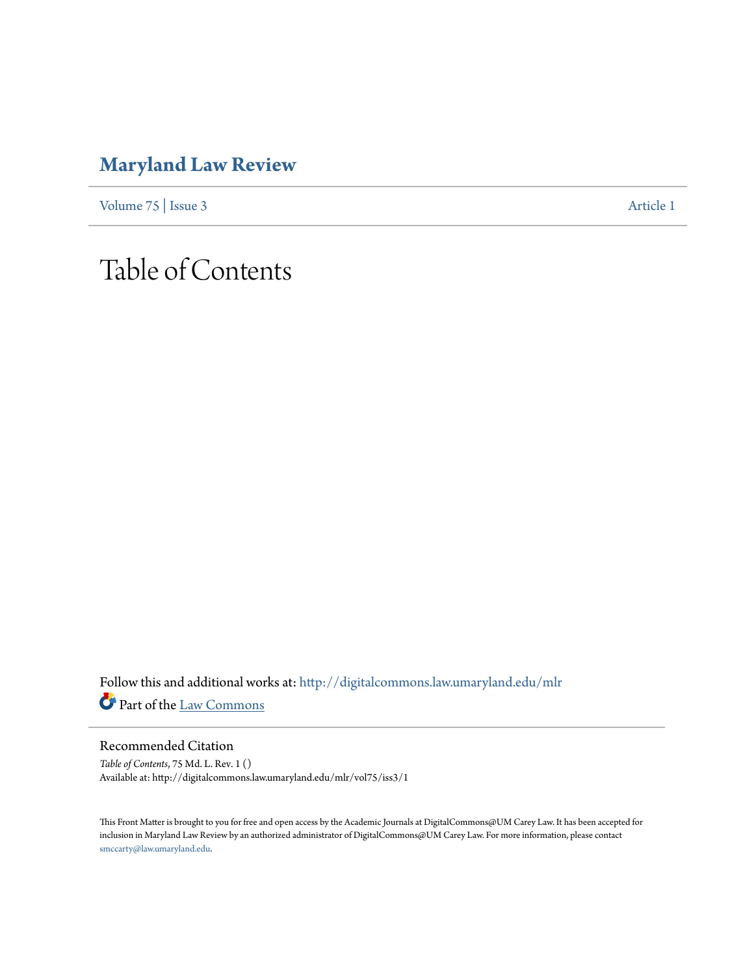# **[Maryland Law Review](http://digitalcommons.law.umaryland.edu/mlr?utm_source=digitalcommons.law.umaryland.edu%2Fmlr%2Fvol75%2Fiss3%2F1&utm_medium=PDF&utm_campaign=PDFCoverPages)**

[Volume 75](http://digitalcommons.law.umaryland.edu/mlr/vol75?utm_source=digitalcommons.law.umaryland.edu%2Fmlr%2Fvol75%2Fiss3%2F1&utm_medium=PDF&utm_campaign=PDFCoverPages) | [Issue 3](http://digitalcommons.law.umaryland.edu/mlr/vol75/iss3?utm_source=digitalcommons.law.umaryland.edu%2Fmlr%2Fvol75%2Fiss3%2F1&utm_medium=PDF&utm_campaign=PDFCoverPages) [Article 1](http://digitalcommons.law.umaryland.edu/mlr/vol75/iss3/1?utm_source=digitalcommons.law.umaryland.edu%2Fmlr%2Fvol75%2Fiss3%2F1&utm_medium=PDF&utm_campaign=PDFCoverPages)

# Table of Contents

Follow this and additional works at: [http://digitalcommons.law.umaryland.edu/mlr](http://digitalcommons.law.umaryland.edu/mlr?utm_source=digitalcommons.law.umaryland.edu%2Fmlr%2Fvol75%2Fiss3%2F1&utm_medium=PDF&utm_campaign=PDFCoverPages) Part of the [Law Commons](http://network.bepress.com/hgg/discipline/578?utm_source=digitalcommons.law.umaryland.edu%2Fmlr%2Fvol75%2Fiss3%2F1&utm_medium=PDF&utm_campaign=PDFCoverPages)

#### Recommended Citation

*Table of Contents*, 75 Md. L. Rev. 1 () Available at: http://digitalcommons.law.umaryland.edu/mlr/vol75/iss3/1

This Front Matter is brought to you for free and open access by the Academic Journals at DigitalCommons@UM Carey Law. It has been accepted for inclusion in Maryland Law Review by an authorized administrator of DigitalCommons@UM Carey Law. For more information, please contact [smccarty@law.umaryland.edu.](mailto:smccarty@law.umaryland.edu)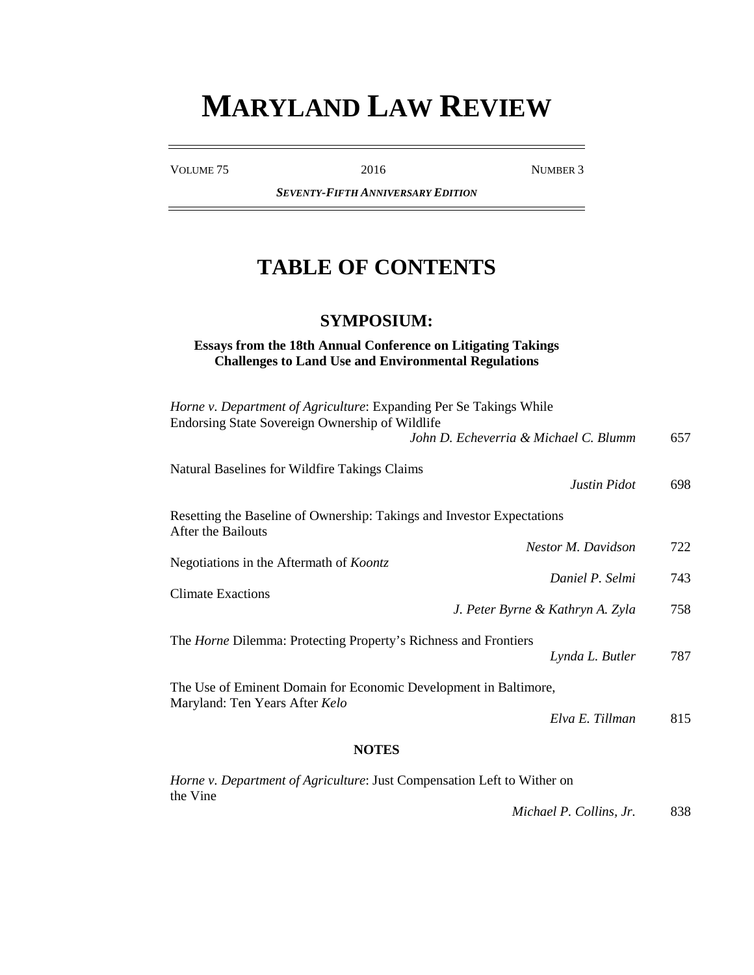# **MARYLAND LAW REVIEW**

VOLUME 75 2016 2016

*SEVENTY-FIFTH ANNIVERSARY EDITION*

## **TABLE OF CONTENTS**

## **SYMPOSIUM:**

#### **Essays from the 18th Annual Conference on Litigating Takings Challenges to Land Use and Environmental Regulations**

| 787<br>815 |
|------------|
|            |
|            |
|            |
| 758        |
|            |
| 743        |
| 722        |
|            |
| 698        |
|            |
| 657        |
|            |
|            |

*Horne v. Department of Agriculture*: Just Compensation Left to Wither on the Vine

*Michael P. Collins, Jr.* 838